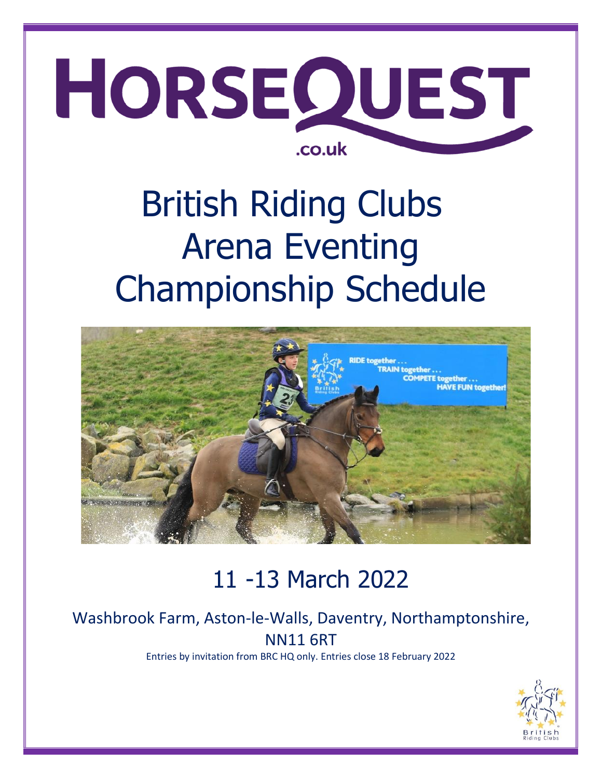

# British Riding Clubs Arena Eventing Championship Schedule



# 11 -13 March 2022

# Washbrook Farm, Aston-le-Walls, Daventry, Northamptonshire, NN11 6RT

Entries by invitation from BRC HQ only. Entries close 18 February 2022

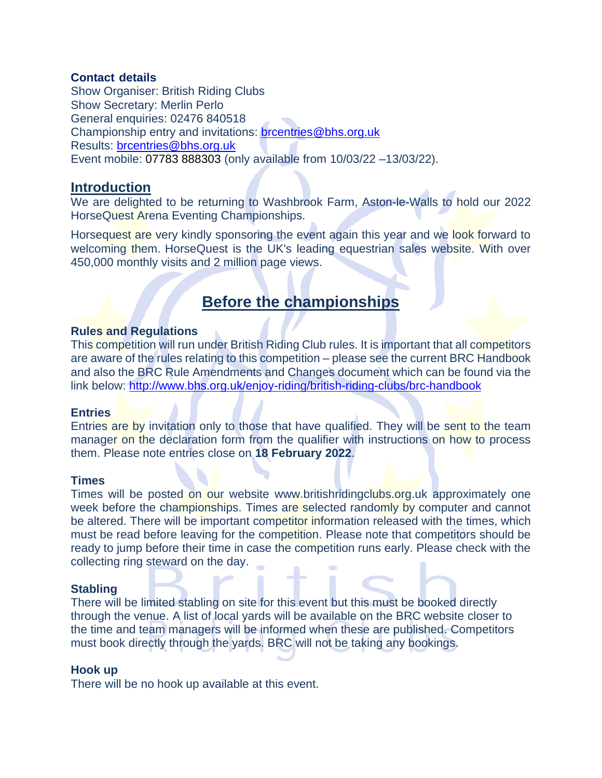#### **Contact details**

Show Organiser: British Riding Clubs Show Secretary: Merlin Perlo General enquiries: 02476 840518 Championship entry and invitations: [brcentries@bhs.org.uk](mailto:brcentries@bhs.org.uk) Results: **brcentries@bhs.org.uk** Event mobile: 07783 888303 (only available from 10/03/22 –13/03/22).

#### **Introduction**

We are delighted to be returning to Washbrook Farm, Aston-le-Walls to hold our 2022 HorseQuest Arena Eventing Championships.

Horsequest are very kindly sponsoring the event again this year and we look forward to welcoming them. HorseQuest is the UK's leading equestrian sales website. With over 450,000 monthly visits and 2 million page views.

### **Before the championships**

#### **Rules and Regulations**

This competition will run under British Riding Club rules. It is important that all competitors are aware of the rules relating to this competition – please see the current BRC Handbook and also the BRC Rule Amendments and Changes document which can be found via the link below:<http://www.bhs.org.uk/enjoy-riding/british-riding-clubs/brc-handbook>

#### **Entries**

Entries are by invitation only to those that have qualified. They will be sent to the team manager on the declaration form from the qualifier with instructions on how to process them. Please note entries close on **18 February 2022**.

#### **Times**

Times will be posted on our website [www.britishridingclubs.org.uk](http://www.britishridingclubs.org.uk/) approximately one week before the championships. Times are selected randomly by computer and cannot be altered. There will be important competitor information released with the times, which must be read before leaving for the competition. Please note that competitors should be ready to jump before their time in case the competition runs early. Please check with the collecting ring steward on the day.

#### **Stabling**

There will be limited stabling on site for this event but this must be booked directly through the venue. A list of local yards will be available on the BRC website closer to the time and team managers will be informed when these are published. Competitors must book directly through the yards. BRC will not be taking any bookings.

#### **Hook up**

There will be no hook up available at this event.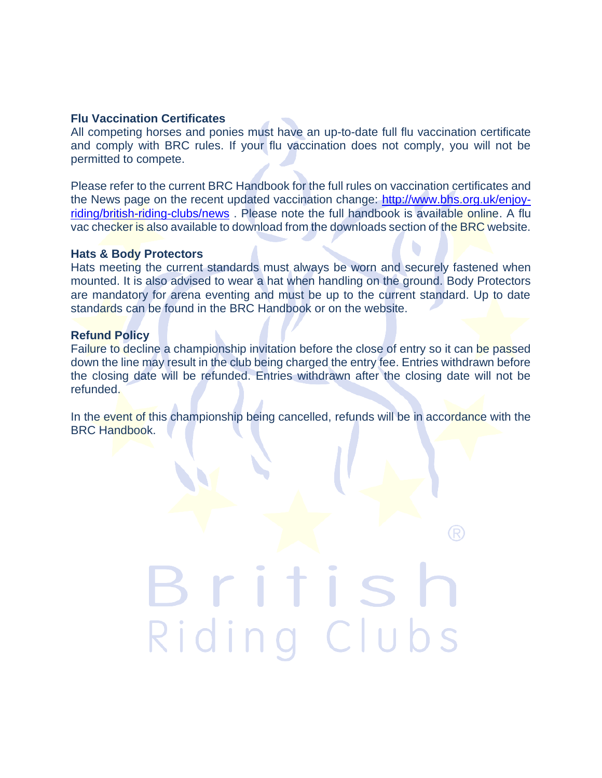#### **Flu Vaccination Certificates**

All competing horses and ponies must have an up-to-date full flu vaccination certificate and comply with BRC rules. If your flu vaccination does not comply, you will not be permitted to compete.

Please refer to the current BRC Handbook for the full rules on vaccination certificates and the News page on the recent updated vaccination change: [http://www.bhs.org.uk/enjoy](http://www.bhs.org.uk/enjoy-riding/british-riding-clubs/news)[riding/british-riding-clubs/news](http://www.bhs.org.uk/enjoy-riding/british-riding-clubs/news) . Please note the full handbook is available online. A flu vac checker is also available to download from the downloads section of the BRC website.

#### **Hats & Body Protectors**

Hats meeting the current standards must always be worn and securely fastened when mounted. It is also advised to wear a hat when handling on the ground. Body Protectors are mandatory for arena eventing and must be up to the current standard. Up to date standards can be found in the BRC Handbook or on the website.

#### **Refund Policy**

Failure to decline a championship invitation before the close of entry so it can be passed down the line may result in the club being charged the entry fee. Entries withdrawn before the closing date will be refunded. Entries withdrawn after the closing date will not be refunded.

In the event of this championship being cancelled, refunds will be in accordance with the BRC Handbook.

Riding Clubs

R)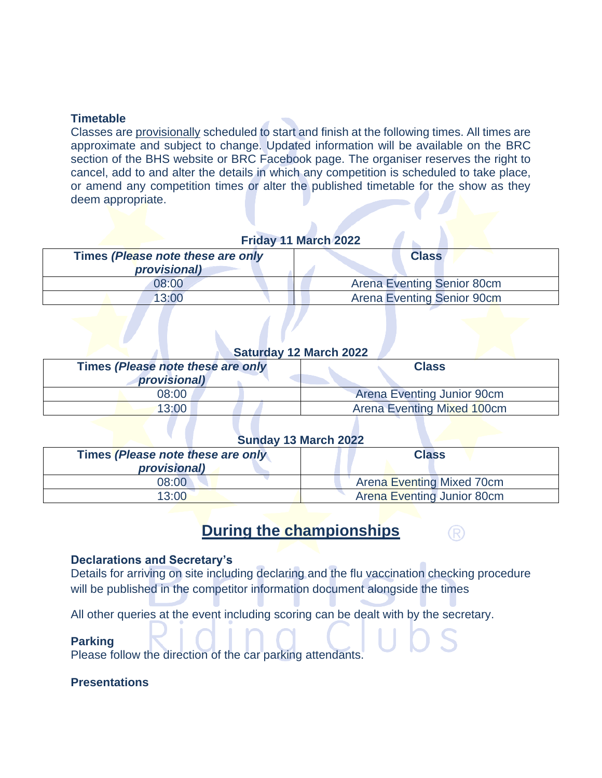#### **Timetable**

Classes are provisionally scheduled to start and finish at the following times. All times are approximate and subject to change. Updated information will be available on the BRC section of the BHS website or BRC Facebook page. The organiser reserves the right to cancel, add to and alter the details in which any competition is scheduled to take place, or amend any competition times or alter the published timetable for the show as they deem appropriate.

#### **Friday 11 March 2022**

| Times (Please note these are only | <b>Class</b>                      |
|-----------------------------------|-----------------------------------|
| provisional)                      |                                   |
| 08:00                             | <b>Arena Eventing Senior 80cm</b> |
| 13:00                             | <b>Arena Eventing Senior 90cm</b> |

#### **Saturday 12 March 2022**

| Times (Please note these are only | <b>Class</b>               |
|-----------------------------------|----------------------------|
| provisional)                      |                            |
| 08:00                             | Arena Eventing Junior 90cm |
| 13:00                             | Arena Eventing Mixed 100cm |

#### **Sunday 13 March 2022**

| Times (Please note these are only<br>provisional) | <b>Class</b>                      |
|---------------------------------------------------|-----------------------------------|
| 08:00                                             | <b>Arena Eventing Mixed 70cm</b>  |
| 13:00                                             | <b>Arena Eventing Junior 80cm</b> |

## **During the championships**

(R)

#### **Declarations and Secretary's**

Details for arriving on site including declaring and the flu vaccination checking procedure will be published in the competitor information document alongside the times

All other queries at the event including scoring can be dealt with by the secretary.

#### **Parking**

Please follow the direction of the car parking attendants.

#### **Presentations**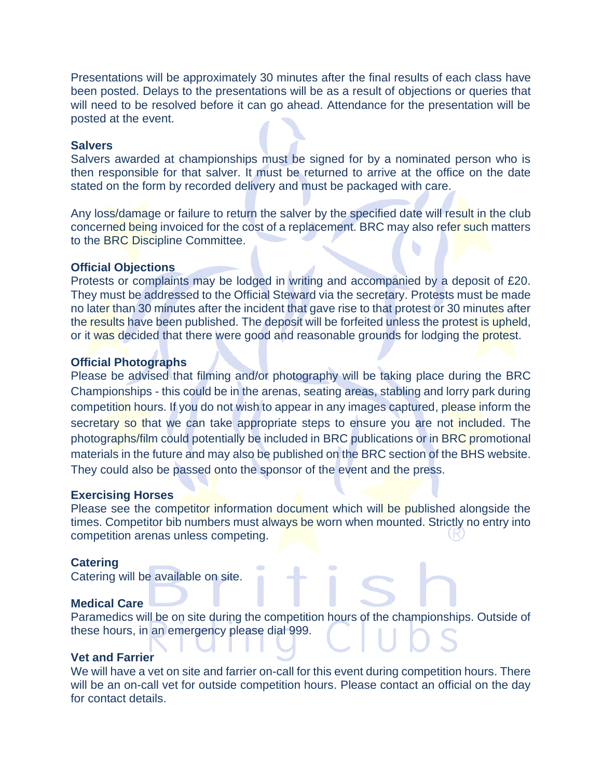Presentations will be approximately 30 minutes after the final results of each class have been posted. Delays to the presentations will be as a result of objections or queries that will need to be resolved before it can go ahead. Attendance for the presentation will be posted at the event.

#### **Salvers**

Salvers awarded at championships must be signed for by a nominated person who is then responsible for that salver. It must be returned to arrive at the office on the date stated on the form by recorded delivery and must be packaged with care.

Any loss/damage or failure to return the salver by the specified date will result in the club concerned being invoiced for the cost of a replacement. BRC may also refer such matters to the BRC Discipline Committee.

#### **Official Objections**

Protests or complaints may be lodged in writing and accompanied by a deposit of £20. They must be addressed to the Official Steward via the secretary. Protests must be made no later than 30 minutes after the incident that gave rise to that protest or 30 minutes after the results have been published. The deposit will be forfeited unless the protest is upheld, or it was decided that there were good and reasonable grounds for lodging the protest.

#### **Official Photographs**

Please be advised that filming and/or photography will be taking place during the BRC Championships - this could be in the arenas, seating areas, stabling and lorry park during competition hours. If you do not wish to appear in any images captured, please inform the secretary so that we can take appropriate steps to ensure you are not included. The photographs/film could potentially be included in BRC publications or in BRC promotional materials in the future and may also be published on the BRC section of the BHS website. They could also be passed onto the sponsor of the event and the press.

#### **Exercising Horses**

Please see the competitor information document which will be published alongside the times. Competitor bib numbers must always be worn when mounted. Strictly no entry into competition arenas unless competing.

#### **Catering**

Catering will be available on site.

#### **Medical Care**

Paramedics will be on site during the competition hours of the championships. Outside of these hours, in an emergency please dial 999.

#### **Vet and Farrier**

We will have a vet on site and farrier on-call for this event during competition hours. There will be an on-call vet for outside competition hours. Please contact an official on the day for contact details.